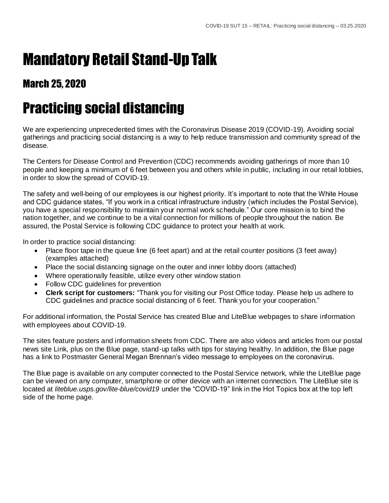## Mandatory Retail Stand-Up Talk

## March 25, 2020

## Practicing social distancing

We are experiencing unprecedented times with the Coronavirus Disease 2019 (COVID-19). Avoiding social gatherings and practicing social distancing is a way to help reduce transmission and community spread of the disease.

The Centers for Disease Control and Prevention (CDC) recommends avoiding gatherings of more than 10 people and keeping a minimum of 6 feet between you and others while in public, including in our retail lobbies, in order to slow the spread of COVID-19.

The safety and well-being of our employees is our highest priority. It's important to note that the White House and CDC guidance states, "If you work in a critical infrastructure industry (which includes the Postal Service), you have a special responsibility to maintain your normal work schedule." Our core mission is to bind the nation together, and we continue to be a vital connection for millions of people throughout the nation. Be assured, the Postal Service is following CDC guidance to protect your health at work.

In order to practice social distancing:

- Place floor tape in the queue line (6 feet apart) and at the retail counter positions (3 feet away) (examples attached)
- Place the social distancing signage on the outer and inner lobby doors (attached)
- Where operationally feasible, utilize every other window station
- Follow CDC guidelines for prevention
- **Clerk script for customers:** "Thank you for visiting our Post Office today. Please help us adhere to CDC guidelines and practice social distancing of 6 feet. Thank you for your cooperation."

For additional information, the Postal Service has created Blue and LiteBlue webpages to share information with employees about COVID-19.

The sites feature posters and information sheets from CDC. There are also videos and articles from our postal news site Link, plus on the Blue page, stand-up talks with tips for staying healthy. In addition, the Blue page has a link to Postmaster General Megan Brennan's video message to employees on the coronavirus.

The Blue page is available on any computer connected to the Postal Service network, while the LiteBlue page can be viewed on any computer, smartphone or other device with an internet connectio n. The LiteBlue site is located at *liteblue.usps.gov/lite-blue/covid19* under the "COVID-19" link in the Hot Topics box at the top left side of the home page.